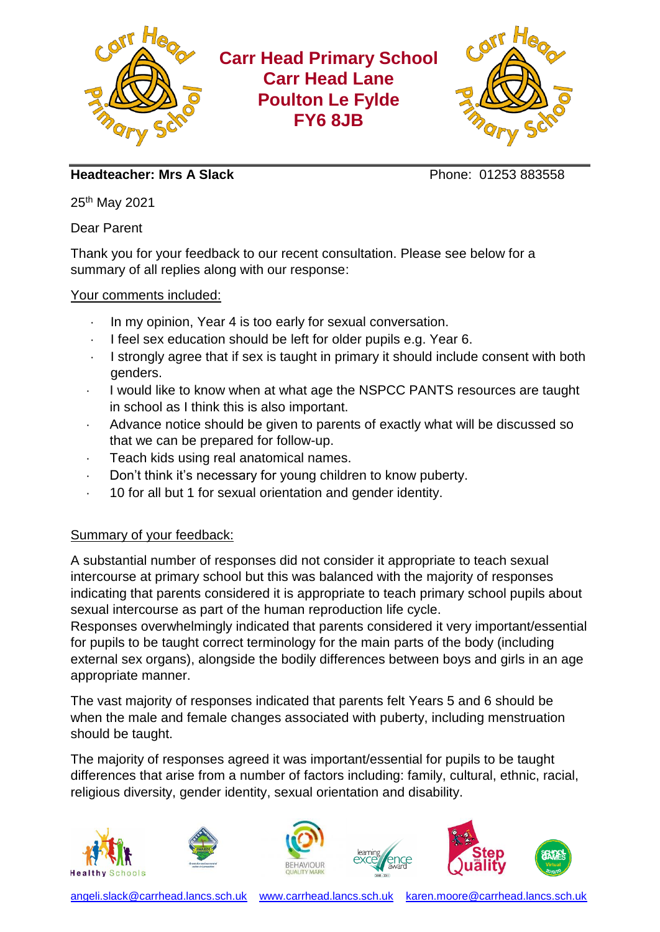

**Headteacher: Mrs A Slack** Phone: 01253 883558

25th May 2021

Dear Parent

Thank you for your feedback to our recent consultation. Please see below for a summary of all replies along with our response:

## Your comments included:

- In my opinion, Year 4 is too early for sexual conversation.
- I feel sex education should be left for older pupils e.g. Year 6.
- I strongly agree that if sex is taught in primary it should include consent with both genders.
- I would like to know when at what age the NSPCC PANTS resources are taught in school as I think this is also important.
- Advance notice should be given to parents of exactly what will be discussed so that we can be prepared for follow-up.
- Teach kids using real anatomical names.
- Don't think it's necessary for young children to know puberty.
- 10 for all but 1 for sexual orientation and gender identity.

## Summary of your feedback:

A substantial number of responses did not consider it appropriate to teach sexual intercourse at primary school but this was balanced with the majority of responses indicating that parents considered it is appropriate to teach primary school pupils about sexual intercourse as part of the human reproduction life cycle.

Responses overwhelmingly indicated that parents considered it very important/essential for pupils to be taught correct terminology for the main parts of the body (including external sex organs), alongside the bodily differences between boys and girls in an age appropriate manner.

The vast majority of responses indicated that parents felt Years 5 and 6 should be when the male and female changes associated with puberty, including menstruation should be taught.

The majority of responses agreed it was important/essential for pupils to be taught differences that arise from a number of factors including: family, cultural, ethnic, racial, religious diversity, gender identity, sexual orientation and disability.